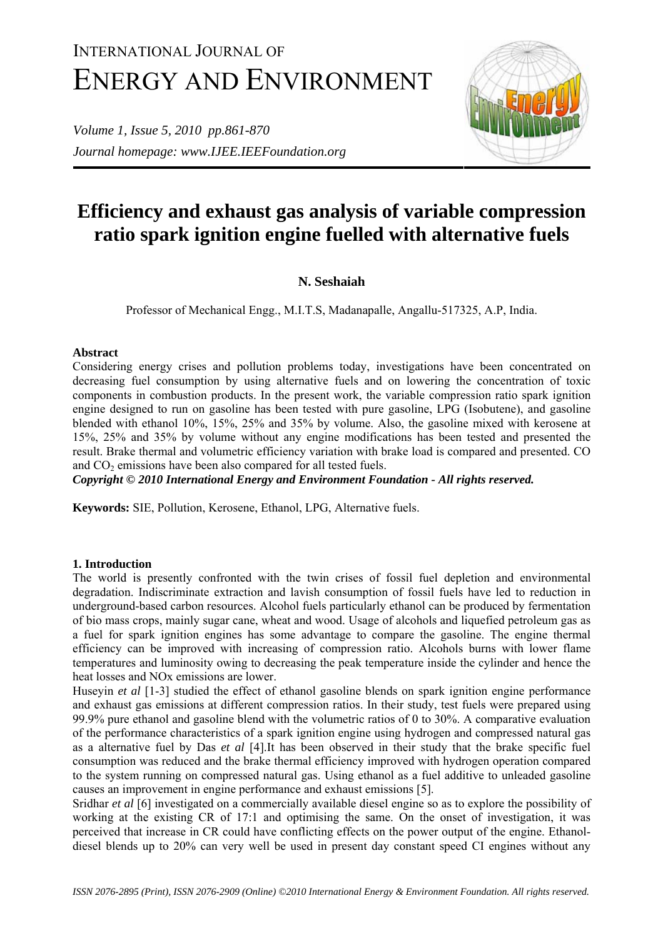# INTERNATIONAL JOURNAL OF ENERGY AND ENVIRONMENT

*Volume 1, Issue 5, 2010 pp.861-870 Journal homepage: www.IJEE.IEEFoundation.org* 



# **Efficiency and exhaust gas analysis of variable compression ratio spark ignition engine fuelled with alternative fuels**

# **N. Seshaiah**

Professor of Mechanical Engg., M.I.T.S, Madanapalle, Angallu-517325, A.P, India.

## **Abstract**

Considering energy crises and pollution problems today, investigations have been concentrated on decreasing fuel consumption by using alternative fuels and on lowering the concentration of toxic components in combustion products. In the present work, the variable compression ratio spark ignition engine designed to run on gasoline has been tested with pure gasoline, LPG (Isobutene), and gasoline blended with ethanol 10%, 15%, 25% and 35% by volume. Also, the gasoline mixed with kerosene at 15%, 25% and 35% by volume without any engine modifications has been tested and presented the result. Brake thermal and volumetric efficiency variation with brake load is compared and presented. CO and  $CO<sub>2</sub>$  emissions have been also compared for all tested fuels.

*Copyright © 2010 International Energy and Environment Foundation - All rights reserved.*

**Keywords:** SIE, Pollution, Kerosene, Ethanol, LPG, Alternative fuels.

## **1. Introduction**

The world is presently confronted with the twin crises of fossil fuel depletion and environmental degradation. Indiscriminate extraction and lavish consumption of fossil fuels have led to reduction in underground-based carbon resources. Alcohol fuels particularly ethanol can be produced by fermentation of bio mass crops, mainly sugar cane, wheat and wood. Usage of alcohols and liquefied petroleum gas as a fuel for spark ignition engines has some advantage to compare the gasoline. The engine thermal efficiency can be improved with increasing of compression ratio. Alcohols burns with lower flame temperatures and luminosity owing to decreasing the peak temperature inside the cylinder and hence the heat losses and NOx emissions are lower.

Huseyin *et al* [1-3] studied the effect of ethanol gasoline blends on spark ignition engine performance and exhaust gas emissions at different compression ratios. In their study, test fuels were prepared using 99.9% pure ethanol and gasoline blend with the volumetric ratios of 0 to 30%. A comparative evaluation of the performance characteristics of a spark ignition engine using hydrogen and compressed natural gas as a alternative fuel by Das *et al* [4].It has been observed in their study that the brake specific fuel consumption was reduced and the brake thermal efficiency improved with hydrogen operation compared to the system running on compressed natural gas. Using ethanol as a fuel additive to unleaded gasoline causes an improvement in engine performance and exhaust emissions [5].

Sridhar *et al* [6] investigated on a commercially available diesel engine so as to explore the possibility of working at the existing CR of 17:1 and optimising the same. On the onset of investigation, it was perceived that increase in CR could have conflicting effects on the power output of the engine. Ethanoldiesel blends up to 20% can very well be used in present day constant speed CI engines without any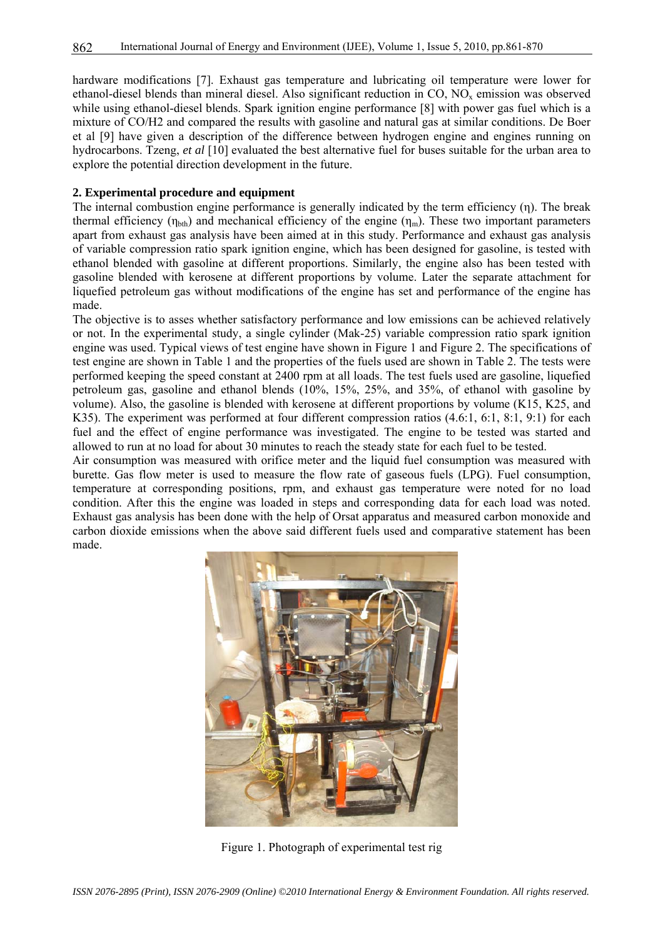hardware modifications [7]. Exhaust gas temperature and lubricating oil temperature were lower for ethanol-diesel blends than mineral diesel. Also significant reduction in CO, NOx emission was observed while using ethanol-diesel blends. Spark ignition engine performance [8] with power gas fuel which is a mixture of CO/H2 and compared the results with gasoline and natural gas at similar conditions. De Boer et al [9] have given a description of the difference between hydrogen engine and engines running on hydrocarbons. Tzeng, *et al* [10] evaluated the best alternative fuel for buses suitable for the urban area to explore the potential direction development in the future.

#### **2. Experimental procedure and equipment**

The internal combustion engine performance is generally indicated by the term efficiency (n). The break thermal efficiency ( $\eta_{\text{bth}}$ ) and mechanical efficiency of the engine ( $\eta_{\text{m}}$ ). These two important parameters apart from exhaust gas analysis have been aimed at in this study. Performance and exhaust gas analysis of variable compression ratio spark ignition engine, which has been designed for gasoline, is tested with ethanol blended with gasoline at different proportions. Similarly, the engine also has been tested with gasoline blended with kerosene at different proportions by volume. Later the separate attachment for liquefied petroleum gas without modifications of the engine has set and performance of the engine has made.

The objective is to asses whether satisfactory performance and low emissions can be achieved relatively or not. In the experimental study, a single cylinder (Mak-25) variable compression ratio spark ignition engine was used. Typical views of test engine have shown in Figure 1 and Figure 2. The specifications of test engine are shown in Table 1 and the properties of the fuels used are shown in Table 2. The tests were performed keeping the speed constant at 2400 rpm at all loads. The test fuels used are gasoline, liquefied petroleum gas, gasoline and ethanol blends (10%, 15%, 25%, and 35%, of ethanol with gasoline by volume). Also, the gasoline is blended with kerosene at different proportions by volume (K15, K25, and K35). The experiment was performed at four different compression ratios (4.6:1, 6:1, 8:1, 9:1) for each fuel and the effect of engine performance was investigated. The engine to be tested was started and allowed to run at no load for about 30 minutes to reach the steady state for each fuel to be tested.

Air consumption was measured with orifice meter and the liquid fuel consumption was measured with burette. Gas flow meter is used to measure the flow rate of gaseous fuels (LPG). Fuel consumption, temperature at corresponding positions, rpm, and exhaust gas temperature were noted for no load condition. After this the engine was loaded in steps and corresponding data for each load was noted. Exhaust gas analysis has been done with the help of Orsat apparatus and measured carbon monoxide and carbon dioxide emissions when the above said different fuels used and comparative statement has been made.



Figure 1. Photograph of experimental test rig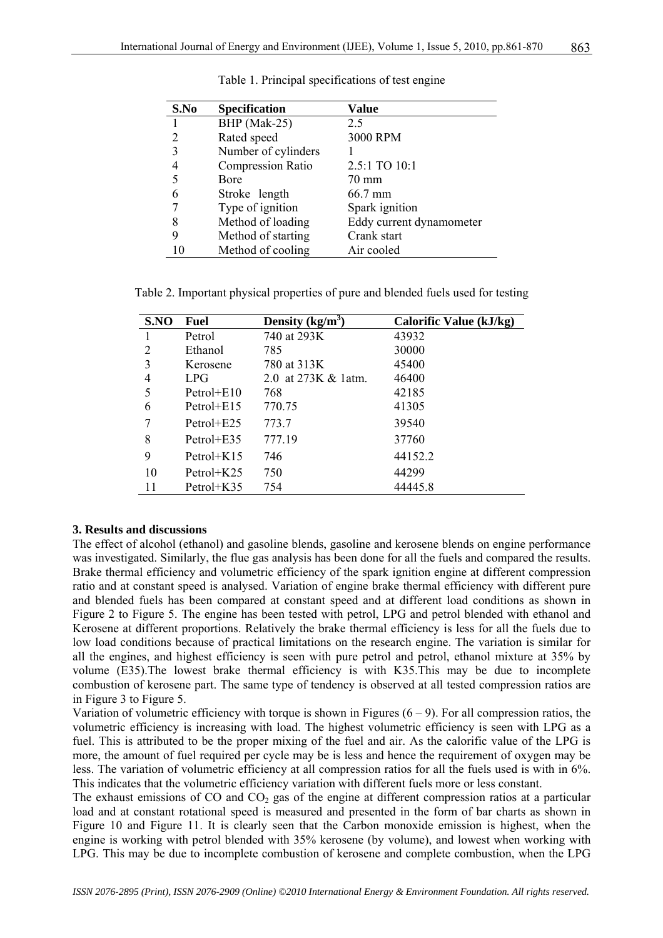| S.No | <b>Specification</b>     | Value                    |
|------|--------------------------|--------------------------|
|      | BHP (Mak-25)             | 2.5                      |
|      | Rated speed              | 3000 RPM                 |
|      | Number of cylinders      |                          |
|      | <b>Compression Ratio</b> | 2.5:1 TO 10:1            |
|      | Bore                     | 70 mm                    |
|      | Stroke length            | 66.7 mm                  |
|      | Type of ignition         | Spark ignition           |
| 8    | Method of loading        | Eddy current dynamometer |
| 9    | Method of starting       | Crank start              |
| 10   | Method of cooling        | Air cooled               |

Table 1. Principal specifications of test engine

Table 2. Important physical properties of pure and blended fuels used for testing

| S.NO | Fuel           | Density $(kg/m^3)$  | Calorific Value (kJ/kg) |
|------|----------------|---------------------|-------------------------|
|      | Petrol         | 740 at 293K         | 43932                   |
| 2    | Ethanol        | 785                 | 30000                   |
| 3    | Kerosene       | 780 at 313K         | 45400                   |
| 4    | LPG            | 2.0 at 273K & 1atm. | 46400                   |
| 5    | $Petrol + E10$ | 768                 | 42185                   |
| 6    | Petrol+ $E15$  | 770.75              | 41305                   |
|      | Petrol+ $E25$  | 773.7               | 39540                   |
| 8    | $Petrol + E35$ | 777.19              | 37760                   |
| 9    | Petrol $+K15$  | 746                 | 44152.2                 |
| 10   | Petrol $+K25$  | 750                 | 44299                   |
| 11   | Petrol+K35     | 754                 | 44445.8                 |

#### **3. Results and discussions**

The effect of alcohol (ethanol) and gasoline blends, gasoline and kerosene blends on engine performance was investigated. Similarly, the flue gas analysis has been done for all the fuels and compared the results. Brake thermal efficiency and volumetric efficiency of the spark ignition engine at different compression ratio and at constant speed is analysed. Variation of engine brake thermal efficiency with different pure and blended fuels has been compared at constant speed and at different load conditions as shown in Figure 2 to Figure 5. The engine has been tested with petrol, LPG and petrol blended with ethanol and Kerosene at different proportions. Relatively the brake thermal efficiency is less for all the fuels due to low load conditions because of practical limitations on the research engine. The variation is similar for all the engines, and highest efficiency is seen with pure petrol and petrol, ethanol mixture at 35% by volume (E35).The lowest brake thermal efficiency is with K35.This may be due to incomplete combustion of kerosene part. The same type of tendency is observed at all tested compression ratios are in Figure 3 to Figure 5.

Variation of volumetric efficiency with torque is shown in Figures  $(6 - 9)$ . For all compression ratios, the volumetric efficiency is increasing with load. The highest volumetric efficiency is seen with LPG as a fuel. This is attributed to be the proper mixing of the fuel and air. As the calorific value of the LPG is more, the amount of fuel required per cycle may be is less and hence the requirement of oxygen may be less. The variation of volumetric efficiency at all compression ratios for all the fuels used is with in 6%. This indicates that the volumetric efficiency variation with different fuels more or less constant.

The exhaust emissions of CO and  $CO<sub>2</sub>$  gas of the engine at different compression ratios at a particular load and at constant rotational speed is measured and presented in the form of bar charts as shown in Figure 10 and Figure 11. It is clearly seen that the Carbon monoxide emission is highest, when the engine is working with petrol blended with 35% kerosene (by volume), and lowest when working with LPG. This may be due to incomplete combustion of kerosene and complete combustion, when the LPG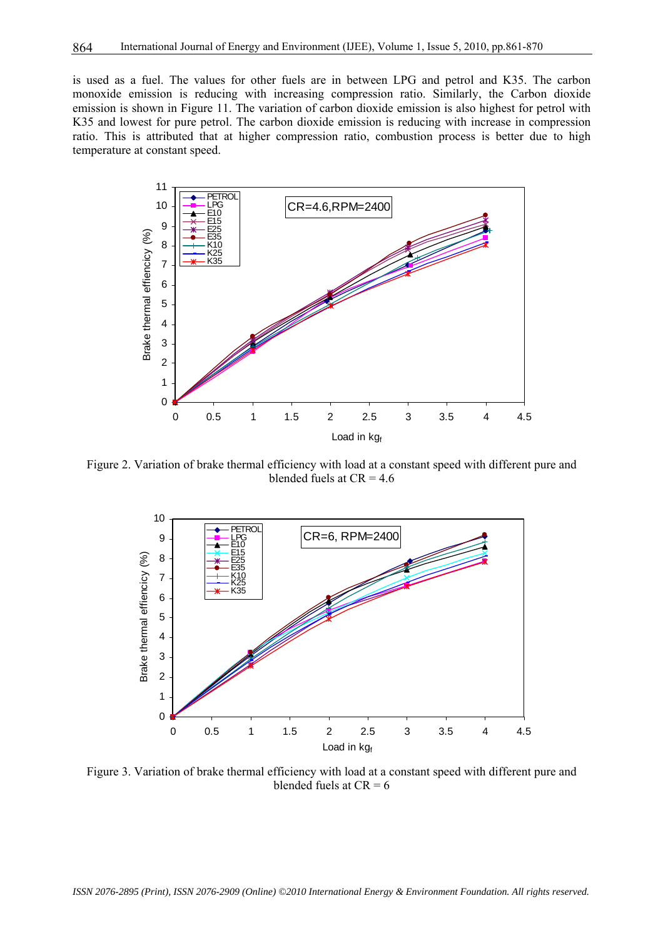is used as a fuel. The values for other fuels are in between LPG and petrol and K35. The carbon monoxide emission is reducing with increasing compression ratio. Similarly, the Carbon dioxide emission is shown in Figure 11. The variation of carbon dioxide emission is also highest for petrol with K35 and lowest for pure petrol. The carbon dioxide emission is reducing with increase in compression ratio. This is attributed that at higher compression ratio, combustion process is better due to high temperature at constant speed.



Figure 2. Variation of brake thermal efficiency with load at a constant speed with different pure and blended fuels at  $CR = 4.6$ 



Figure 3. Variation of brake thermal efficiency with load at a constant speed with different pure and blended fuels at  $CR = 6$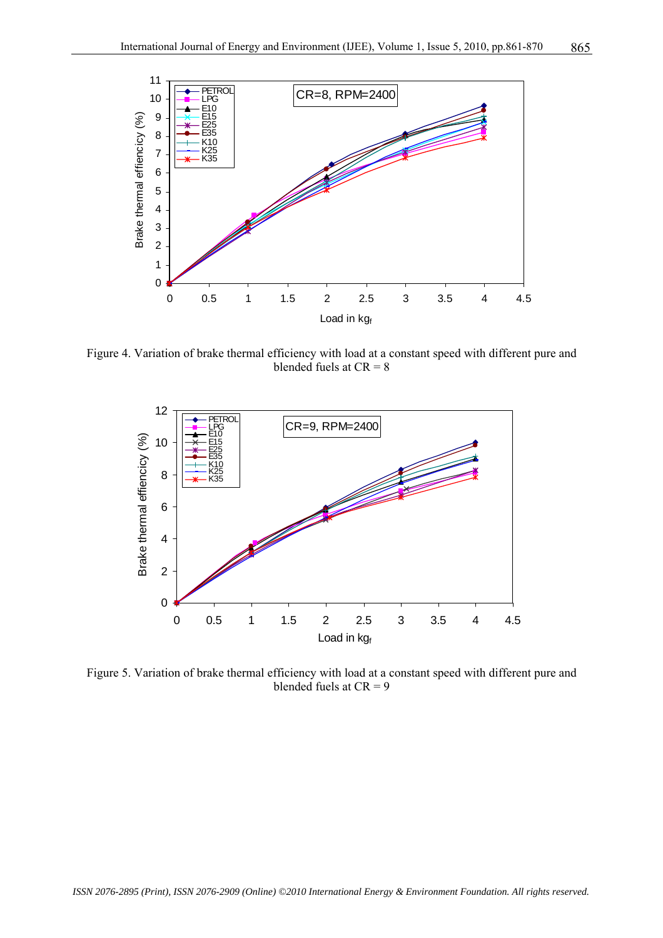

Figure 4. Variation of brake thermal efficiency with load at a constant speed with different pure and blended fuels at  $CR = 8$ 



Figure 5. Variation of brake thermal efficiency with load at a constant speed with different pure and blended fuels at  $CR = 9$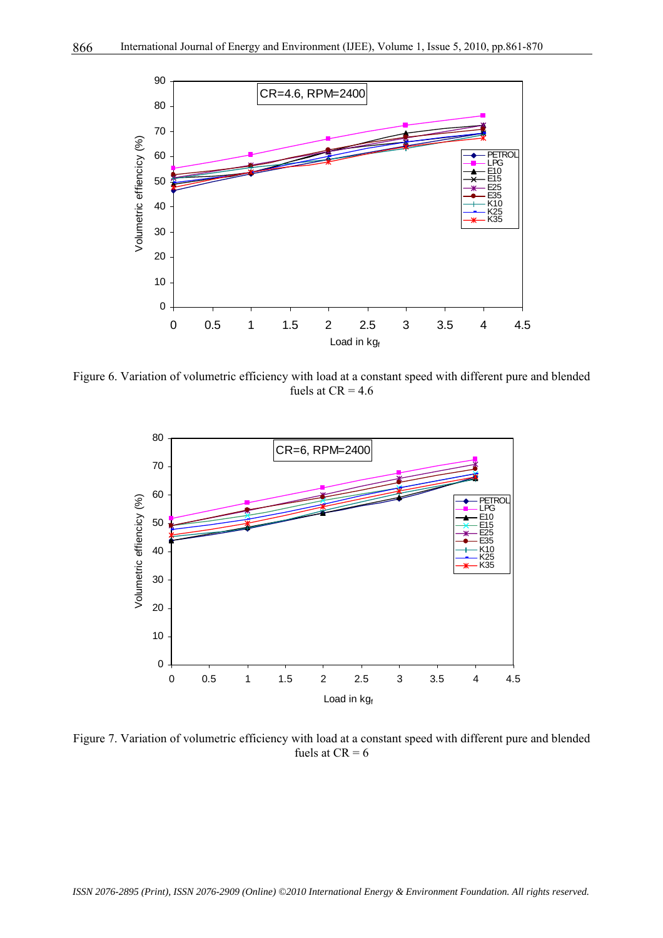

Figure 6. Variation of volumetric efficiency with load at a constant speed with different pure and blended fuels at  $CR = 4.6$ 



Figure 7. Variation of volumetric efficiency with load at a constant speed with different pure and blended fuels at  $CR = 6$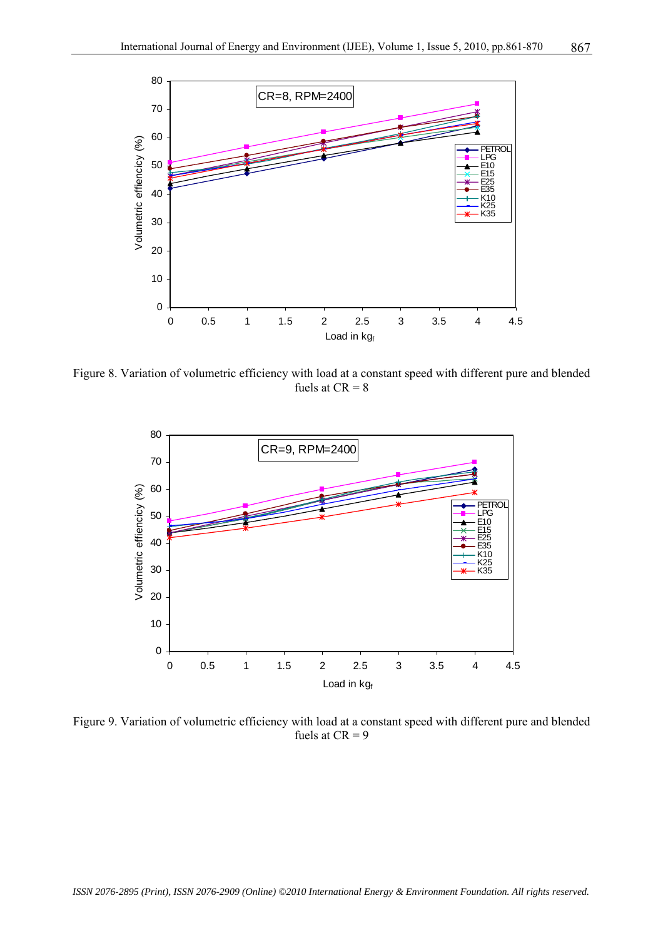

Figure 8. Variation of volumetric efficiency with load at a constant speed with different pure and blended fuels at  $CR = 8$ 



Figure 9. Variation of volumetric efficiency with load at a constant speed with different pure and blended fuels at  $CR = 9$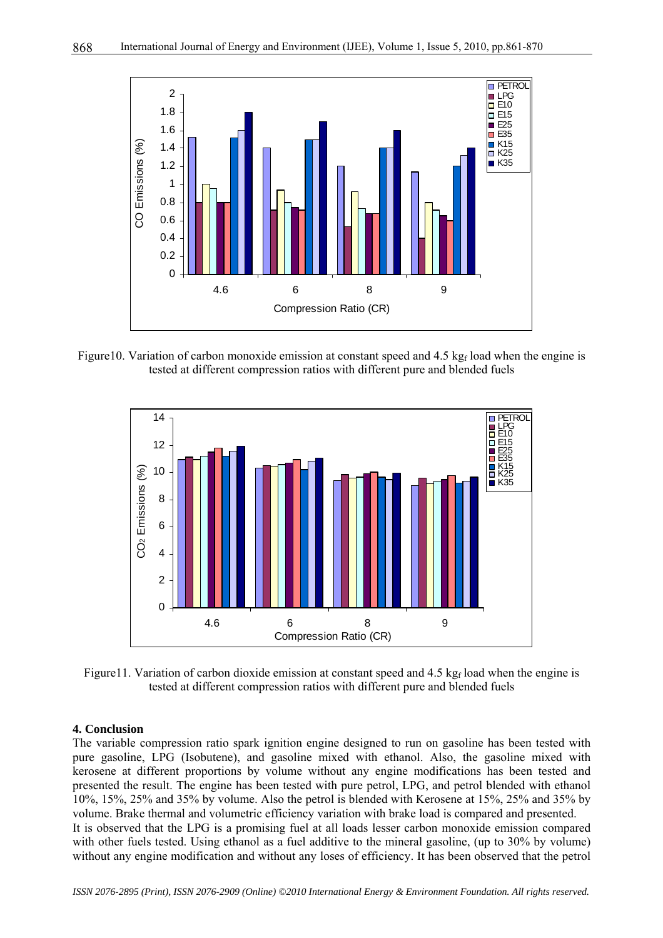

Figure10. Variation of carbon monoxide emission at constant speed and 4.5 kg<sub>f</sub> load when the engine is tested at different compression ratios with different pure and blended fuels



Figure11. Variation of carbon dioxide emission at constant speed and  $4.5 \text{ kg}_f$  load when the engine is tested at different compression ratios with different pure and blended fuels

#### **4. Conclusion**

The variable compression ratio spark ignition engine designed to run on gasoline has been tested with pure gasoline, LPG (Isobutene), and gasoline mixed with ethanol. Also, the gasoline mixed with kerosene at different proportions by volume without any engine modifications has been tested and presented the result. The engine has been tested with pure petrol, LPG, and petrol blended with ethanol 10%, 15%, 25% and 35% by volume. Also the petrol is blended with Kerosene at 15%, 25% and 35% by volume. Brake thermal and volumetric efficiency variation with brake load is compared and presented. It is observed that the LPG is a promising fuel at all loads lesser carbon monoxide emission compared with other fuels tested. Using ethanol as a fuel additive to the mineral gasoline, (up to 30% by volume) without any engine modification and without any loses of efficiency. It has been observed that the petrol

*ISSN 2076-2895 (Print), ISSN 2076-2909 (Online) ©2010 International Energy & Environment Foundation. All rights reserved.*